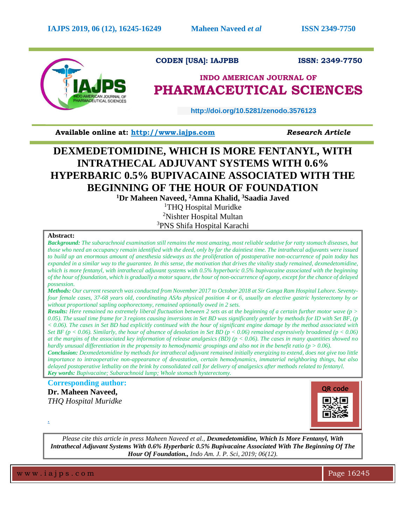

# **CODEN [USA]: IAJPBB ISSN: 2349-7750**

# **INDO AMERICAN JOURNAL OF PHARMACEUTICAL SCIENCES**

 **http://doi.org/10.5281/zenodo.3576123** 

**Available online at: [http://www.iajps.com](http://www.iajps.com/)** *Research Article*

# **DEXMEDETOMIDINE, WHICH IS MORE FENTANYL, WITH INTRATHECAL ADJUVANT SYSTEMS WITH 0.6% HYPERBARIC 0.5% BUPIVACAINE ASSOCIATED WITH THE BEGINNING OF THE HOUR OF FOUNDATION**

**<sup>1</sup>Dr Maheen Naveed, <sup>2</sup>Amna Khalid, <sup>3</sup>Saadia Javed** 

<sup>1</sup>THQ Hospital Muridke <sup>2</sup>Nishter Hospital Multan <sup>3</sup>PNS Shifa Hospital Karachi

## **Abstract:**

*Background: The subarachnoid examination still remains the most amazing, most reliable sedative for ratty stomach diseases, but those who need an occupancy remain identified with the deed, only by far the daintiest time. The intrathecal adjuvants were issued to build up an enormous amount of anesthesia sideways as the proliferation of postoperative non-occurrence of pain today has expanded in a similar way to the guarantee. In this sense, the motivation that drives the vitality study remained, dexmedetomidine, which is more fentanyl, with intrathecal adjuvant systems with 0.5% hyperbaric 0.5% bupivacaine associated with the beginning of the hour of foundation, which is gradually a motor square, the hour of non-occurrence of agony, except for the chance of delayed possession.* 

*Methods: Our current research was conducted from November 2017 to October 2018 at Sir Ganga Ram Hospital Lahore. Seventyfour female cases, 37-68 years old, coordinating ASAs physical position 4 or 6, usually an elective gastric hysterectomy by or without proportional sapling oophorectomy, remained optionally owed in 2 sets.* 

*Results: Here remained no extremely liberal fluctuation between 2 sets as at the beginning of a certain further motor wave (p > 0.05). The usual time frame for 3 regions causing inversions in Set BD was significantly gentler by methods for ID with Set BF, (p < 0.06). The cases in Set BD had explicitly continued with the hour of significant engine damage by the method associated with Set BF (p < 0.06). Similarly, the hour of absence of desolation in Set BD (p < 0.06) remained expressively broadened (p < 0.06) at the margins of the associated key information of release analgesics (BD) (p < 0.06). The cases in many quantities showed no hardly unusual differentiation in the propensity to hemodynamic groupings and also not in the benefit ratio (p > 0.06).* 

*Conclusion: Dexmedetomidine by methods for intrathecal adjuvant remained initially energizing to extend, does not give too little importance to intraoperative non-appearance of devastation, certain hemodynamics, immaterial neighboring things, but also delayed postoperative lethality on the brink by consolidated call for delivery of analgesics after methods related to fentanyl. Key words: Bupivacaine; Subarachnoid lump; Whole stomach hysterectomy.*

**Corresponding author:** 

**Dr. Maheen Naveed,** *THQ Hospital Muridke* 



*Please cite this article in press Maheen Naveed et al., Dexmedetomidine, Which Is More Fentanyl, With Intrathecal Adjuvant Systems With 0.6% Hyperbaric 0.5% Bupivacaine Associated With The Beginning Of The Hour Of Foundation., Indo Am. J. P. Sci, 2019; 06(12).*

w w w . i a j p s . c o m Page 16245

*.*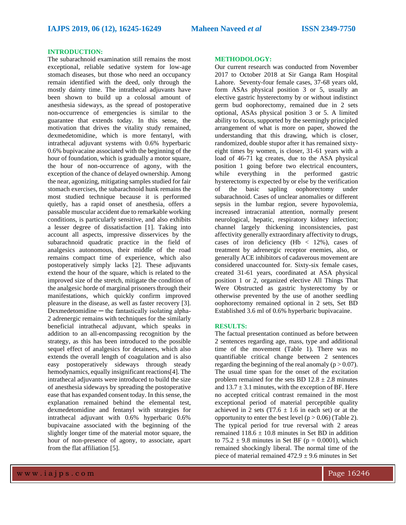### **INTRODUCTION:**

The subarachnoid examination still remains the most exceptional, reliable sedative system for low-age stomach diseases, but those who need an occupancy remain identified with the deed, only through the mostly dainty time. The intrathecal adjuvants have been shown to build up a colossal amount of anesthesia sideways, as the spread of postoperative non-occurrence of emergencies is similar to the guarantee that extends today. In this sense, the motivation that drives the vitality study remained, dexmedetomidine, which is more fentanyl, with intrathecal adjuvant systems with 0.6% hyperbaric 0.6% bupivacaine associated with the beginning of the hour of foundation, which is gradually a motor square, the hour of non-occurrence of agony, with the exception of the chance of delayed ownership. Among the near, agonizing, mitigating samples studied for fair stomach exercises, the subarachnoid hunk remains the most studied technique because it is performed quietly, has a rapid onset of anesthesia, offers a passable muscular accident due to remarkable working conditions, is particularly sensitive, and also exhibits a lesser degree of dissatisfaction [1]. Taking into account all aspects, impressive disservices by the subarachnoid quadratic practice in the field of analgesics autonomous, their middle of the road remains compact time of experience, which also postoperatively simply lacks [2]. These adjuvants extend the hour of the square, which is related to the improved size of the stretch, mitigate the condition of the analgesic horde of marginal prisoners through their manifestations, which quickly confirm improved pleasure in the disease, as well as faster recovery [3].  $D$ exmedetomidine  $-$  the fantastically isolating alpha-2 adrenergic remains with techniques for the similarly beneficial intrathecal adjuvant, which speaks in addition to an all-encompassing recognition by the strategy, as this has been introduced to the possible sequel effect of analgesics for detainees, which also extends the overall length of coagulation and is also easy postoperatively sideways through steady hemodynamics, equally insignificant reactions[4]. The intrathecal adjuvants were introduced to build the size of anesthesia sideways by spreading the postoperative ease that has expanded consent today. In this sense, the explanation remained behind the elemental test, dexmedetomidine and fentanyl with strategies for intrathecal adjuvant with 0.6% hyperbaric 0.6% bupivacaine associated with the beginning of the slightly longer time of the material motor square, the hour of non-presence of agony, to associate, apart from the flat affiliation [5].

#### **METHODOLOGY:**

Our current research was conducted from November 2017 to October 2018 at Sir Ganga Ram Hospital Lahore. Seventy-four female cases, 37-68 years old, form ASAs physical position 3 or 5, usually an elective gastric hysterectomy by or without indistinct germ bud oophorectomy, remained due in 2 sets optional, ASAs physical position 3 or 5. A limited ability to focus, supported by the seemingly principled arrangement of what is more on paper, showed the understanding that this drawing, which is closer, randomized, double stupor after it has remained sixtyeight times by women, is closer, 31-61 years with a load of 46-71 kg creates, due to the ASA physical position 1 going before two electrical encounters, while everything in the performed gastric hysterectomy is expected by or else by the verification of the basic sapling oophorectomy under subarachnoid. Cases of unclear anomalies or different sepsis in the lumbar region, severe hypovolemia, increased intracranial attention, normally present neurological, hepatic, respiratory kidney infection; channel largely thickening inconsistencies, past affectivity generally extraordinary affectivity to drugs, cases of iron deficiency (Hb  $<$  12%), cases of treatment by adrenergic receptor enemies, also, or generally ACE inhibitors of cadaverous movement are considered unaccounted for. Sixty-six female cases, created 31-61 years, coordinated at ASA physical position 1 or 2, organized elective All Things That Were Obstructed as gastric hysterectomy by or otherwise prevented by the use of another seedling oophorectomy remained optional in 2 sets, Set BD Established 3.6 ml of 0.6% hyperbaric bupivacaine.

#### **RESULTS:**

The factual presentation continued as before between 2 sentences regarding age, mass, type and additional time of the movement (Table 1). There was no quantifiable critical change between 2 sentences regarding the beginning of the real anomaly ( $p > 0.07$ ). The usual time span for the onset of the excitation problem remained for the sets BD  $12.8 \pm 2.8$  minutes and  $13.7 \pm 3.1$  minutes, with the exception of BF. Here no accepted critical contrast remained in the most exceptional period of material perceptible quality achieved in 2 sets (T7.6  $\pm$  1.6 in each set) or at the opportunity to enter the best level ( $p > 0.06$ ) (Table 2). The typical period for true reversal with 2 areas remained  $118.6 \pm 10.8$  minutes in Set BD in addition to  $75.2 \pm 9.8$  minutes in Set BF ( $p = 0.0001$ ), which remained shockingly liberal. The normal time of the piece of material remained  $472.9 \pm 9.6$  minutes in Set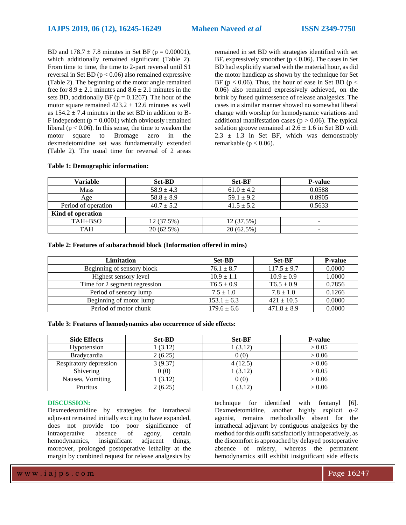BD and  $178.7 \pm 7.8$  minutes in Set BF (p = 0.00001), which additionally remained significant (Table 2). From time to time, the time to 2-part reversal until S1 reversal in Set BD ( $p < 0.06$ ) also remained expressive (Table 2). The beginning of the motor angle remained free for  $8.9 \pm 2.1$  minutes and  $8.6 \pm 2.1$  minutes in the sets BD, additionally BF ( $p = 0.1267$ ). The hour of the motor square remained  $423.2 \pm 12.6$  minutes as well as  $154.2 \pm 7.4$  minutes in the set BD in addition to B-F independent  $(p = 0.0001)$  which obviously remained liberal ( $p < 0.06$ ). In this sense, the time to weaken the motor square to Bromage zero in the dexmedetomidine set was fundamentally extended (Table 2). The usual time for reversal of 2 areas

remained in set BD with strategies identified with set BF, expressively smoother ( $p < 0.06$ ). The cases in Set BD had explicitly started with the material hour, as did the motor handicap as shown by the technique for Set BF ( $p < 0.06$ ). Thus, the hour of ease in Set BD ( $p <$ 0.06) also remained expressively achieved, on the brink by fused quintessence of release analgesics. The cases in a similar manner showed no somewhat liberal change with worship for hemodynamic variations and additional manifestation cases ( $p > 0.06$ ). The typical sedation groove remained at  $2.6 \pm 1.6$  in Set BD with  $2.3 \pm 1.3$  in Set BF, which was demonstrably remarkable ( $p < 0.06$ ).

| Variable            | <b>Set-BD</b>  | <b>Set-BF</b>  | <b>P-value</b> |  |  |  |  |
|---------------------|----------------|----------------|----------------|--|--|--|--|
| <b>Mass</b>         | $58.9 \pm 4.3$ | $61.0 \pm 4.2$ | 0.0588         |  |  |  |  |
| Age                 | $58.8 \pm 8.9$ | $59.1 \pm 9.2$ | 0.8905         |  |  |  |  |
| Period of operation | $40.7 \pm 5.2$ | $41.5 \pm 5.2$ | 0.5633         |  |  |  |  |
| Kind of operation   |                |                |                |  |  |  |  |
| TAH+BSO             | 12 (37.5%)     | 12 (37.5%)     | -              |  |  |  |  |
| <b>TAH</b>          | 20(62.5%)      | 20 (62.5%)     | -              |  |  |  |  |

**Table 2: Features of subarachnoid block (Information offered in mins)**

| Limitation                    | <b>Set-BD</b>   | <b>Set-BF</b>   | <b>P-value</b> |
|-------------------------------|-----------------|-----------------|----------------|
| Beginning of sensory block    | $76.1 \pm 8.7$  | $117.5 \pm 9.7$ | 0.0000         |
| Highest sensory level         | $10.9 \pm 1.1$  | $10.9 \pm 0.9$  | 1.0000         |
| Time for 2 segment regression | $T6.5 \pm 0.9$  | $T6.5 \pm 0.9$  | 0.7856         |
| Period of sensory lump        | $7.5 \pm 1.0$   | $7.8 \pm 1.0$   | 0.1266         |
| Beginning of motor lump       | $153.1 \pm 6.3$ | $421 \pm 10.5$  | 0.0000         |
| Period of motor chunk         | $179.6 \pm 6.6$ | $471.8 \pm 8.9$ | 0.0000         |

|  |  |  |  |  | Table 3: Features of hemodynamics also occurrence of side effects: |  |
|--|--|--|--|--|--------------------------------------------------------------------|--|
|  |  |  |  |  |                                                                    |  |

| <b>Side Effects</b>    | <b>Set-BD</b> | <b>Set-BF</b> | <b>P-value</b> |
|------------------------|---------------|---------------|----------------|
| Hypotension            | 1(3.12)       | 1(3.12)       | > 0.05         |
| <b>Bradycardia</b>     | 2(6.25)       | 0(0)          | > 0.06         |
| Respiratory depression | 3(9.37)       | 4(12.5)       | > 0.06         |
| Shivering              | 0(0)          | 1(3.12)       | > 0.05         |
| Nausea, Vomiting       | (3.12)        | 0(0)          | > 0.06         |
| Pruritus               | 2(6.25)       | (3.12)        | > 0.06         |

#### **DISCUSSION:**

Dexmedetomidine by strategies for intrathecal adjuvant remained initially exciting to have expanded, does not provide too poor significance of intraoperative absence of agony, certain hemodynamics, insignificant adjacent things, moreover, prolonged postoperative lethality at the margin by combined request for release analgesics by

technique for identified with fentanyl [6]. Dexmedetomidine, another highly explicit α-2 agonist, remains methodically absent for the intrathecal adjuvant by contiguous analgesics by the method for this outfit satisfactorily intraoperatively, as the discomfort is approached by delayed postoperative absence of misery, whereas the permanent hemodynamics still exhibit insignificant side effects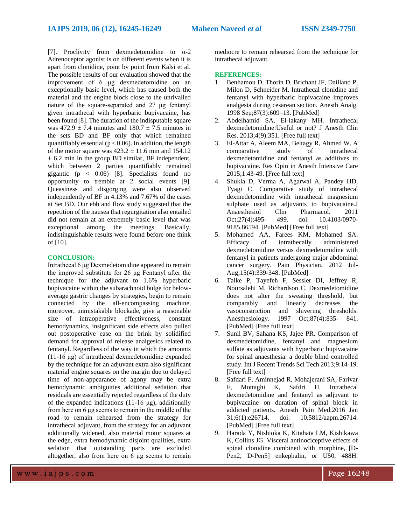[7]. Proclivity from dexmedetomidine to  $\alpha$ -2 Adrenoceptor agonist is on different events when it is apart from clonidine, point by point from Kalsi et al. The possible results of our evaluation showed that the improvement of 6 μg dexmedetomidine on an exceptionally basic level, which has caused both the material and the engine block close to the unrivalled nature of the square-separated and 27 μg fentanyl given intrathecal with hyperbaric bupivacaine, has been found [8]. The duration of the indisputable square was  $472.9 \pm 7.4$  minutes and  $180.7 \pm 7.5$  minutes in the sets BD and BF only that which remained quantifiably essential ( $p < 0.06$ ). In addition, the length of the motor square was  $423.2 \pm 11.6$  min and  $154.12$  $\pm$  6.2 min in the group BD similar, BF independent, which between 2 parties quantifiably remained gigantic ( $p \leq 0.06$ ) [8]. Specialists found no opportunity to tremble at 2 social events [9]. Queasiness and disgorging were also observed independently of BF in 4.13% and 7.67% of the cases at Set BD. Our ebb and flow study suggested that the repetition of the nausea that regurgitation also entailed did not remain at an extremely basic level that was exceptional among the meetings. Basically, indistinguishable results were found before one think of [10].

#### **CONCLUSION:**

Intrathecal 6 μg Dexmedetomidine appeared to remain the improved substitute for 26 μg Fentanyl after the technique for the adjuvant to 1.6% hyperbaric bupivacaine within the subarachnoid bulge for belowaverage gastric changes by strategies, begin to remain connected by the all-encompassing machine, moreover, unmistakable blockade, give a reasonable size of intraoperative effectiveness, constant hemodynamics, insignificant side effects also pulled out postoperative ease on the brink by solidified demand for approval of release analgesics related to fentanyl. Regardless of the way in which the amounts (11-16 μg) of intrathecal dexmedetomidine expanded by the technique for an adjuvant extra also significant material engine squares on the margin due to delayed time of non-appearance of agony may be extra hemodynamic ambiguities additional sedation that residuals are essentially rejected regardless of the duty of the expanded indications (11-16 μg), additionally from here on 6 μg seems to remain in the middle of the road to remain rehearsed from the strategy for intrathecal adjuvant, from the strategy for an adjuvant additionally widened, also material motor squares at the edge, extra hemodynamic disjoint qualities, extra sedation that outstanding parts are excluded altogether, also from here on  $\vec{6}$  µg seems to remain

mediocre to remain rehearsed from the technique for intrathecal adjuvant.

### **REFERENCES:**

- 1. Benhamou D, Thorin D, Brichant JF, Dailland P, Milon D, Schneider M. Intrathecal clonidine and fentanyl with hyperbaric bupivacaine improves analgesia during cesarean section. Anesth Analg. 1998 Sep;87(3):609–13. [PubMed]
- 2. Abdelhamid SA, El-lakany MH. Intrathecal dexmedetomidine:Useful or not? J Anesth Clin Res. 2013;4(9):351. [Free full text]
- 3. El-Attar A, Aleem MA, Beltagy R, Ahmed W. A comparative study of intrathecal dexmedetomidine and fentanyl as additives to bupivacaine. Res Opin in Anesth Intensive Care 2015;1:43-49. [Free full text]
- 4. Shukla D, Verma A, Agarwal A, Pandey HD, Tyagi C. Comparative study of intrathecal dexmedetomidine with intrathecal magnesium sulphate used as adjuvants to bupivacaine.J Anaesthesiol Clin Pharmacol. 2011 Oct;27(4):495- 499. doi: 10.4103/0970- 9185.86594. [PubMed] [Free full text]
- 5. Mohamed AA, Farees KM, Mohamed SA. Efficacy of intrathecally administered dexmedetomidine versus dexmedetomidine with fentanyl in patients undergoing major abdominal cancer surgery. Pain Physician. 2012 Jul-Aug;15(4):339-348. [PubMed]
- 6. Talke P, Tayefeh F, Sessler DI, Jeffrey R, Noursalehi M, Richardson C. Dexmedetomidine does not alter the sweating threshold, but comparably and linearly decreases the vasoconstriction and shivering thresholds. Anesthesiology. 1997 Oct;87(4):835- 841. [PubMed] [Free full text]
- 7. Sunil BV, Sahana KS, Jajee PR. Comparison of dexmedetomidine, fentanyl and magnesium sulfate as adjuvants with hyperbaric bupivacaine for spinal anaesthesia: a double blind controlled study. Int J Recent Trends Sci Tech 2013;9:14-19. [Free full text]
- 8. Safdari F, Aminnejad R, Mohajerani SA, Farivar F, Mottaghi K, Safdri H. Intrathecal dexmedetomidine and fentanyl as adjuvant to bupivacaine on duration of spinal block in addicted patients. Anesth Pain Med.2016 Jan 31;6(1):e26714. doi: 10.5812/aapm.26714. [PubMed] [Free full text]
- 9. Harada Y, Nishioka K, Kitahata LM, Kishikawa K, Collins JG. Visceral antinociceptive effects of spinal clonidine combined with morphine, [D-Pen2, D-Pen5] enkephalin, or U50, 488H.